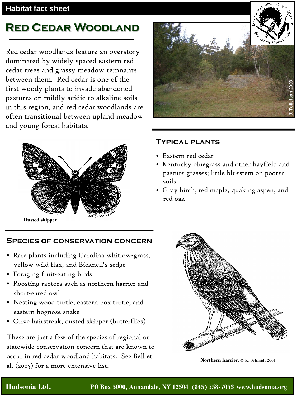## **Habitat fact sheet**

# **Red Cedar Woodland**

Red cedar woodlands feature an overstory dominated by widely spaced eastern red cedar trees and grassy meadow remnants between them. Red cedar is one of the first woody plants to invade abandoned pastures on mildly acidic to alkaline soils in this region, and red cedar woodlands are often transitional between upland meadow and young forest habitats.



**Dusted skipper**

### **Species of conservation concern**

- Rare plants including Carolina whitlow-grass, yellow wild flax, and Bicknell's sedge
- Foraging fruit-eating birds
- Roosting raptors such as northern harrier and short-eared owl
- Nesting wood turtle, eastern box turtle, and eastern hognose snake
- Olive hairstreak, dusted skipper (butterflies)

These are just a few of the species of regional or statewide conservation concern that are known to occur in red cedar woodland habitats. See Bell et al. (2005) for a more extensive list.



### **Typical plants**

- Eastern red cedar
- Kentucky bluegrass and other hayfield and pasture grasses; little bluestem on poorer soils
- Gray birch, red maple, quaking aspen, and red oak



**Northern harrier**, © K. Schmidt 2001